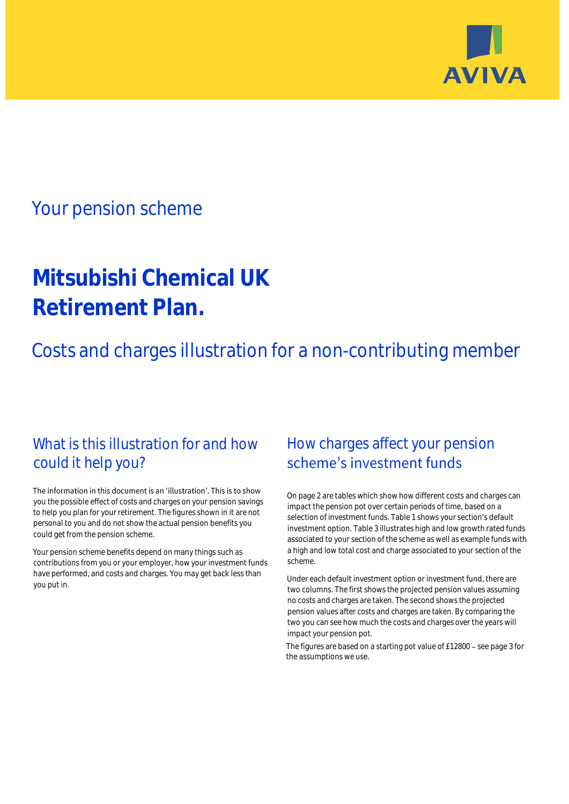

## Your pension scheme

# **Mitsubishi Chemical UK Retirement Plan.**

Costs and charges illustration for a non-contributing member

### What is this illustration for and how could it help you?

#### The information in this document is an 'illustration'. This is to show you the possible effect of costs and charges on your pension savings to help you plan for your retirement. The figures shown in it are not personal to you and do not show the actual pension benefits you could get from the pension scheme.

Your pension scheme benefits depend on many things such as contributions from you or your employer, how your investment funds have performed, and costs and charges. You may get back less than you put in.

### How charges affect your pension scheme's investment funds

On page 2 are tables which show how different costs and charges can impact the pension pot over certain periods of time, based on a selection of investment funds. Table 1 shows your section's default investment option. Table 3 illustrates high and low growth rated funds associated to your section of the scheme as well as example funds with a high and low total cost and charge associated to your section of the scheme.

Under each default investment option or investment fund, there are two columns. The first shows the projected pension values assuming no costs and charges are taken. The second shows the projected pension values after costs and charges are taken. By comparing the two you can see how much the costs and charges over the years will impact your pension pot.

The figures are based on a starting pot value of  $£12800$  – see page 3 for the assumptions we use.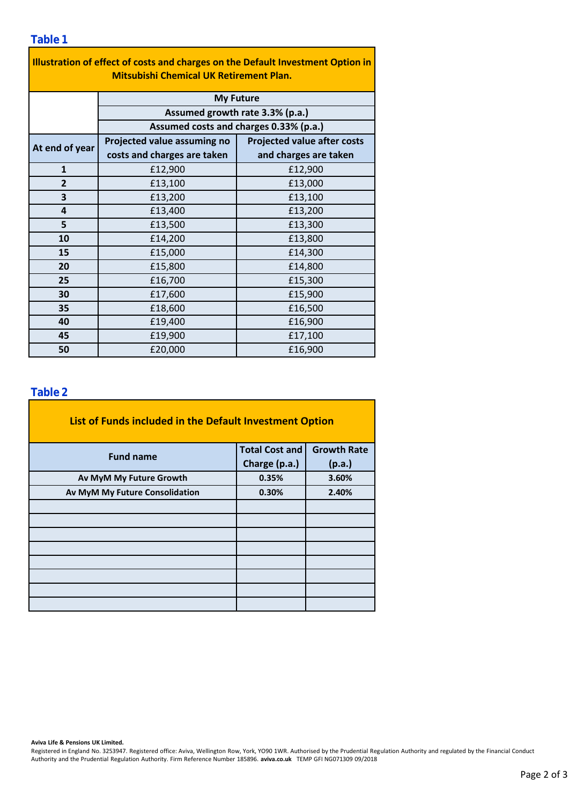| Illustration of effect of costs and charges on the Default Investment Option in<br><b>Mitsubishi Chemical UK Retirement Plan.</b> |                                        |                                    |  |  |  |  |  |  |  |  |
|-----------------------------------------------------------------------------------------------------------------------------------|----------------------------------------|------------------------------------|--|--|--|--|--|--|--|--|
|                                                                                                                                   |                                        |                                    |  |  |  |  |  |  |  |  |
|                                                                                                                                   | <b>My Future</b>                       |                                    |  |  |  |  |  |  |  |  |
|                                                                                                                                   | Assumed growth rate 3.3% (p.a.)        |                                    |  |  |  |  |  |  |  |  |
|                                                                                                                                   | Assumed costs and charges 0.33% (p.a.) |                                    |  |  |  |  |  |  |  |  |
| At end of year                                                                                                                    | Projected value assuming no            | <b>Projected value after costs</b> |  |  |  |  |  |  |  |  |
|                                                                                                                                   | costs and charges are taken            | and charges are taken              |  |  |  |  |  |  |  |  |
| $\mathbf{1}$                                                                                                                      | £12,900                                | £12,900                            |  |  |  |  |  |  |  |  |
| $\overline{2}$                                                                                                                    | £13,100                                | £13,000                            |  |  |  |  |  |  |  |  |
| 3                                                                                                                                 | £13,200                                | £13,100                            |  |  |  |  |  |  |  |  |
| 4                                                                                                                                 | £13,400                                | £13,200                            |  |  |  |  |  |  |  |  |
| 5                                                                                                                                 | £13,500                                | £13,300                            |  |  |  |  |  |  |  |  |
| 10                                                                                                                                | £14,200                                | £13,800                            |  |  |  |  |  |  |  |  |
| 15                                                                                                                                | £15,000                                | £14,300                            |  |  |  |  |  |  |  |  |
| 20                                                                                                                                | £15,800                                | £14,800                            |  |  |  |  |  |  |  |  |
| 25                                                                                                                                | £16,700                                | £15,300                            |  |  |  |  |  |  |  |  |
| 30                                                                                                                                | £17,600                                | £15,900                            |  |  |  |  |  |  |  |  |
| 35                                                                                                                                | £18,600                                | £16,500                            |  |  |  |  |  |  |  |  |
| 40                                                                                                                                | £19,400                                | £16,900                            |  |  |  |  |  |  |  |  |
| 45                                                                                                                                | £19,900                                | £17,100                            |  |  |  |  |  |  |  |  |
| 50                                                                                                                                | £20,000                                | £16,900                            |  |  |  |  |  |  |  |  |

### **Table 2**

| List of Funds included in the Default Investment Option |                       |                    |  |  |  |  |  |  |
|---------------------------------------------------------|-----------------------|--------------------|--|--|--|--|--|--|
| <b>Fund name</b>                                        | <b>Total Cost and</b> | <b>Growth Rate</b> |  |  |  |  |  |  |
|                                                         | Charge (p.a.)         | (p.a.)             |  |  |  |  |  |  |
| Av MyM My Future Growth                                 | 0.35%                 | 3.60%              |  |  |  |  |  |  |
| Av MyM My Future Consolidation                          | 0.30%                 | 2.40%              |  |  |  |  |  |  |
|                                                         |                       |                    |  |  |  |  |  |  |
|                                                         |                       |                    |  |  |  |  |  |  |
|                                                         |                       |                    |  |  |  |  |  |  |
|                                                         |                       |                    |  |  |  |  |  |  |
|                                                         |                       |                    |  |  |  |  |  |  |
|                                                         |                       |                    |  |  |  |  |  |  |
|                                                         |                       |                    |  |  |  |  |  |  |
|                                                         |                       |                    |  |  |  |  |  |  |

#### **Aviva Life & Pensions UK Limited.**

Registered in England No. 3253947. Registered office: Aviva, Wellington Row, York, YO90 1WR. Authorised by the Prudential Regulation Authority and regulated by the Financial Conduct Authority and the Prudential Regulation Authority. Firm Reference Number 185896. **aviva.co.uk** TEMP GFI NG071309 09/2018